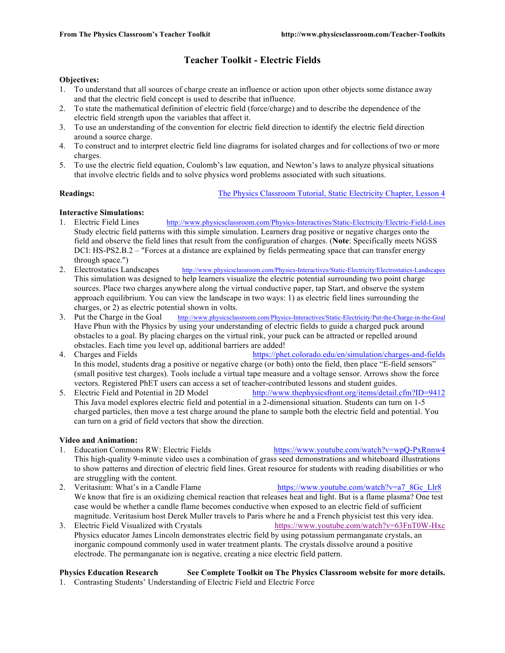# **Teacher Toolkit - Electric Fields**

### **Objectives:**

- 1. To understand that all sources of charge create an influence or action upon other objects some distance away and that the electric field concept is used to describe that influence.
- 2. To state the mathematical definition of electric field (force/charge) and to describe the dependence of the electric field strength upon the variables that affect it.
- 3. To use an understanding of the convention for electric field direction to identify the electric field direction around a source charge.
- 4. To construct and to interpret electric field line diagrams for isolated charges and for collections of two or more charges.
- 5. To use the electric field equation, Coulomb's law equation, and Newton's laws to analyze physical situations that involve electric fields and to solve physics word problems associated with such situations.

**Readings:** The Physics Classroom Tutorial, Static Electricity Chapter, Lesson 4

## **Interactive Simulations:**

- 1. Electric Field Lines http://www.physicsclassroom.com/Physics-Interactives/Static-Electricity/Electric-Field-Lines Study electric field patterns with this simple simulation. Learners drag positive or negative charges onto the field and observe the field lines that result from the configuration of charges. (**Note**: Specifically meets NGSS DCI: HS-PS2.B.2 – "Forces at a distance are explained by fields permeating space that can transfer energy through space.")
- 2. Electrostatics Landscapes http://www.physicsclassroom.com/Physics-Interactives/Static-Electricity/Electrostatics-Landscapes This simulation was designed to help learners visualize the electric potential surrounding two point charge sources. Place two charges anywhere along the virtual conductive paper, tap Start, and observe the system approach equilibrium. You can view the landscape in two ways: 1) as electric field lines surrounding the charges, or 2) as electric potential shown in volts.
- 3. Put the Charge in the Goal http://www.physicsclassroom.com/Physics-Interactives/Static-Electricity/Put-the-Charge-in-the-Goal Have Phun with the Physics by using your understanding of electric fields to guide a charged puck around obstacles to a goal. By placing charges on the virtual rink, your puck can be attracted or repelled around obstacles. Each time you level up, additional barriers are added!
- 4. Charges and Fields https://phet.colorado.edu/en/simulation/charges-and-fields In this model, students drag a positive or negative charge (or both) onto the field, then place "E-field sensors" (small positive test charges). Tools include a virtual tape measure and a voltage sensor. Arrows show the force vectors. Registered PhET users can access a set of teacher-contributed lessons and student guides.
- 5. Electric Field and Potential in 2D Model http://www.thephysicsfront.org/items/detail.cfm?ID=9412 This Java model explores electric field and potential in a 2-dimensional situation. Students can turn on 1-5 charged particles, then move a test charge around the plane to sample both the electric field and potential. You can turn on a grid of field vectors that show the direction.

### **Video and Animation:**

- 1. Education Commons RW: Electric Fields https://www.youtube.com/watch?v=wpQ-PxRnnw4 This high-quality 9-minute video uses a combination of grass seed demonstrations and whiteboard illustrations to show patterns and direction of electric field lines. Great resource for students with reading disabilities or who are struggling with the content.
- 2. Veritasium: What's in a Candle Flame https://www.youtube.com/watch?v=a7\_8Gc\_Llr8 We know that fire is an oxidizing chemical reaction that releases heat and light. But is a flame plasma? One test case would be whether a candle flame becomes conductive when exposed to an electric field of sufficient magnitude. Veritasium host Derek Muller travels to Paris where he and a French physicist test this very idea.
- 3. Electric Field Visualized with Crystals https://www.youtube.com/watch?v=63FnT0W-Hxc Physics educator James Lincoln demonstrates electric field by using potassium permanganate crystals, an inorganic compound commonly used in water treatment plants. The crystals dissolve around a positive electrode. The permanganate ion is negative, creating a nice electric field pattern.

### **Physics Education Research See Complete Toolkit on The Physics Classroom website for more details.** 1. Contrasting Students' Understanding of Electric Field and Electric Force